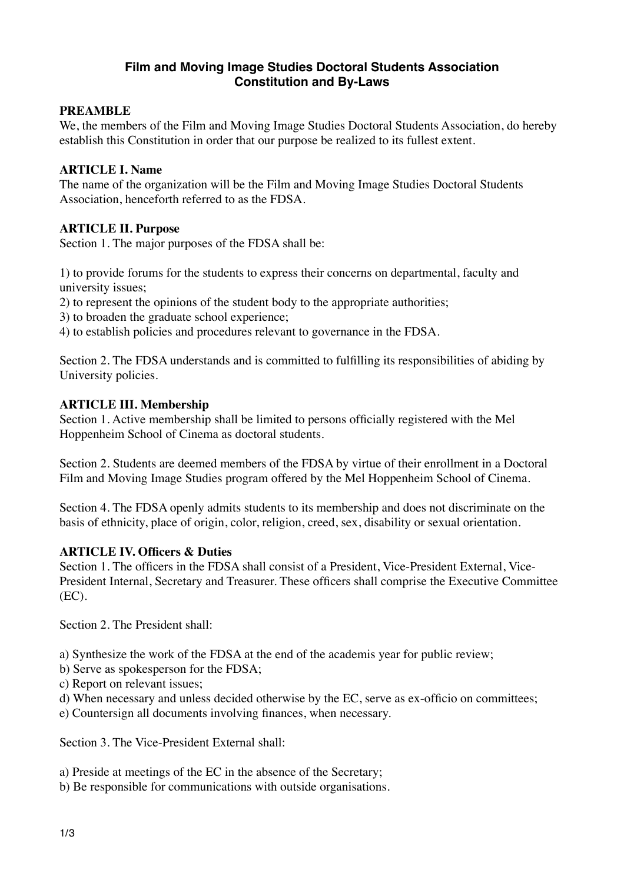# **Film and Moving Image Studies Doctoral Students Association Constitution and By-Laws**

# **PREAMBLE**

We, the members of the Film and Moving Image Studies Doctoral Students Association, do hereby establish this Constitution in order that our purpose be realized to its fullest extent.

### **ARTICLE I. Name**

The name of the organization will be the Film and Moving Image Studies Doctoral Students Association, henceforth referred to as the FDSA.

### **ARTICLE II. Purpose**

Section 1. The major purposes of the FDSA shall be:

1) to provide forums for the students to express their concerns on departmental, faculty and university issues;

2) to represent the opinions of the student body to the appropriate authorities;

3) to broaden the graduate school experience;

4) to establish policies and procedures relevant to governance in the FDSA.

Section 2. The FDSA understands and is committed to fulfilling its responsibilities of abiding by University policies.

### **ARTICLE III. Membership**

Section 1. Active membership shall be limited to persons officially registered with the Mel Hoppenheim School of Cinema as doctoral students.

Section 2. Students are deemed members of the FDSA by virtue of their enrollment in a Doctoral Film and Moving Image Studies program offered by the Mel Hoppenheim School of Cinema.

Section 4. The FDSA openly admits students to its membership and does not discriminate on the basis of ethnicity, place of origin, color, religion, creed, sex, disability or sexual orientation.

#### **ARTICLE IV. Officers & Duties**

Section 1. The officers in the FDSA shall consist of a President, Vice-President External, Vice-President Internal, Secretary and Treasurer. These officers shall comprise the Executive Committee (EC).

Section 2. The President shall:

a) Synthesize the work of the FDSA at the end of the academis year for public review;

b) Serve as spokesperson for the FDSA;

- c) Report on relevant issues;
- d) When necessary and unless decided otherwise by the EC, serve as ex-officio on committees;

e) Countersign all documents involving finances, when necessary.

Section 3. The Vice-President External shall:

a) Preside at meetings of the EC in the absence of the Secretary;

b) Be responsible for communications with outside organisations.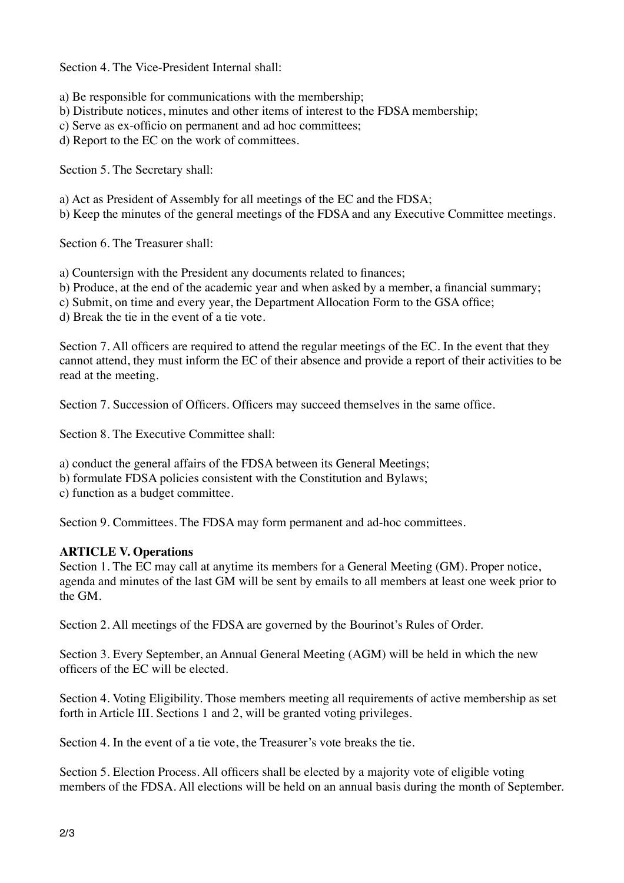Section 4. The Vice-President Internal shall:

- a) Be responsible for communications with the membership;
- b) Distribute notices, minutes and other items of interest to the FDSA membership;
- c) Serve as ex-officio on permanent and ad hoc committees;
- d) Report to the EC on the work of committees.

Section 5. The Secretary shall:

- a) Act as President of Assembly for all meetings of the EC and the FDSA;
- b) Keep the minutes of the general meetings of the FDSA and any Executive Committee meetings.

Section 6. The Treasurer shall:

a) Countersign with the President any documents related to finances;

- b) Produce, at the end of the academic year and when asked by a member, a financial summary;
- c) Submit, on time and every year, the Department Allocation Form to the GSA office;

d) Break the tie in the event of a tie vote.

Section 7. All officers are required to attend the regular meetings of the EC. In the event that they cannot attend, they must inform the EC of their absence and provide a report of their activities to be read at the meeting.

Section 7. Succession of Officers. Officers may succeed themselves in the same office.

Section 8. The Executive Committee shall:

- a) conduct the general affairs of the FDSA between its General Meetings;
- b) formulate FDSA policies consistent with the Constitution and Bylaws;

c) function as a budget committee.

Section 9. Committees. The FDSA may form permanent and ad-hoc committees.

# **ARTICLE V. Operations**

Section 1. The EC may call at anytime its members for a General Meeting (GM). Proper notice, agenda and minutes of the last GM will be sent by emails to all members at least one week prior to the GM.

Section 2. All meetings of the FDSA are governed by the Bourinot's Rules of Order.

Section 3. Every September, an Annual General Meeting (AGM) will be held in which the new officers of the EC will be elected.

Section 4. Voting Eligibility. Those members meeting all requirements of active membership as set forth in Article III. Sections 1 and 2, will be granted voting privileges.

Section 4. In the event of a tie vote, the Treasurer's vote breaks the tie.

Section 5. Election Process. All officers shall be elected by a majority vote of eligible voting members of the FDSA. All elections will be held on an annual basis during the month of September.